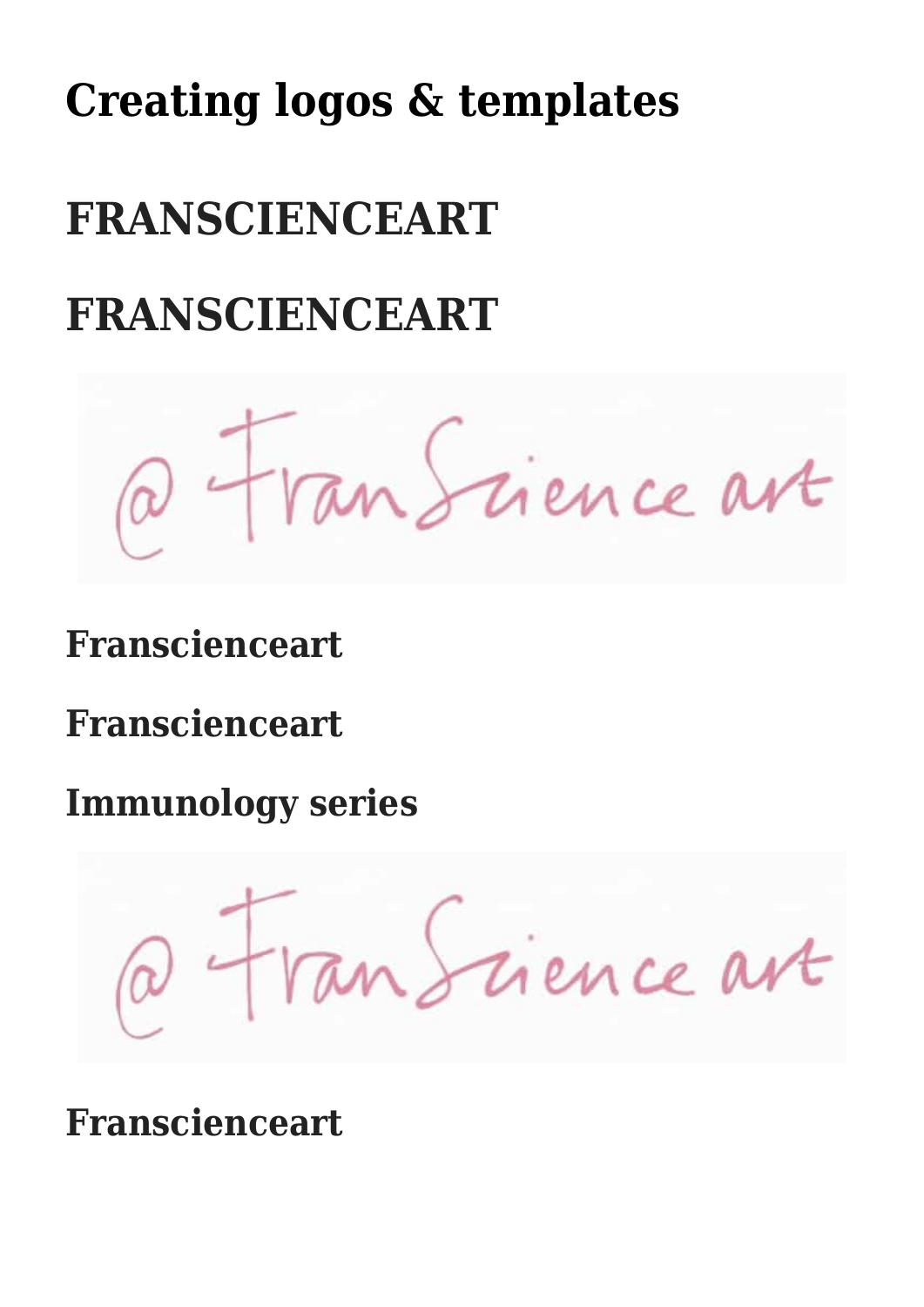# **[Creating logos & templates](https://franscienceart.com/elementor-4164/)**

# **FRANSCIENCEART**

# **FRANSCIENCEART**

Fran Science ave

### **Franscienceart**

**Franscienceart**

**Immunology series**

Tan Science art

**Franscienceart**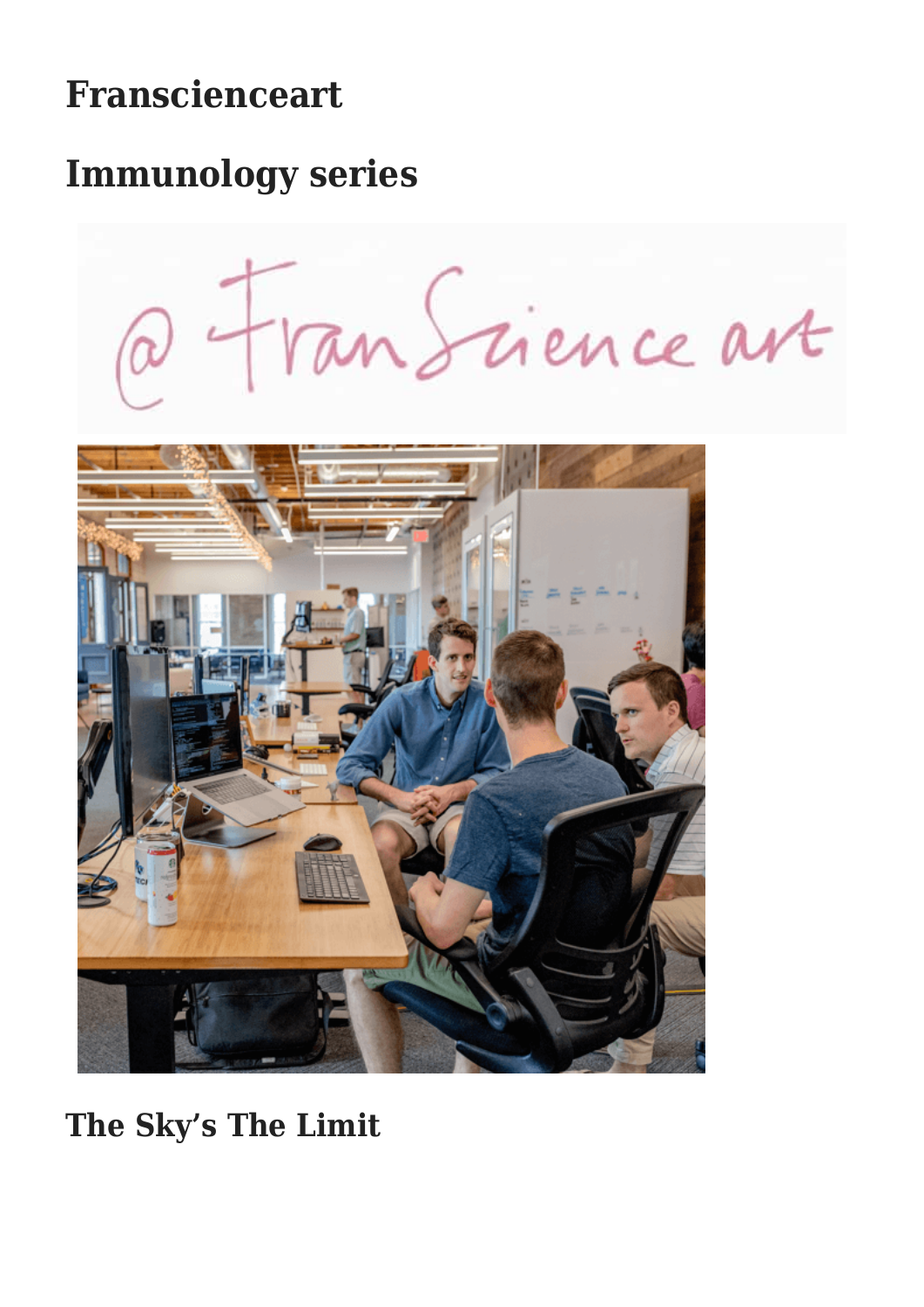## **Franscienceart**

### **Immunology series**

Tan Science ave



**The Sky's The Limit**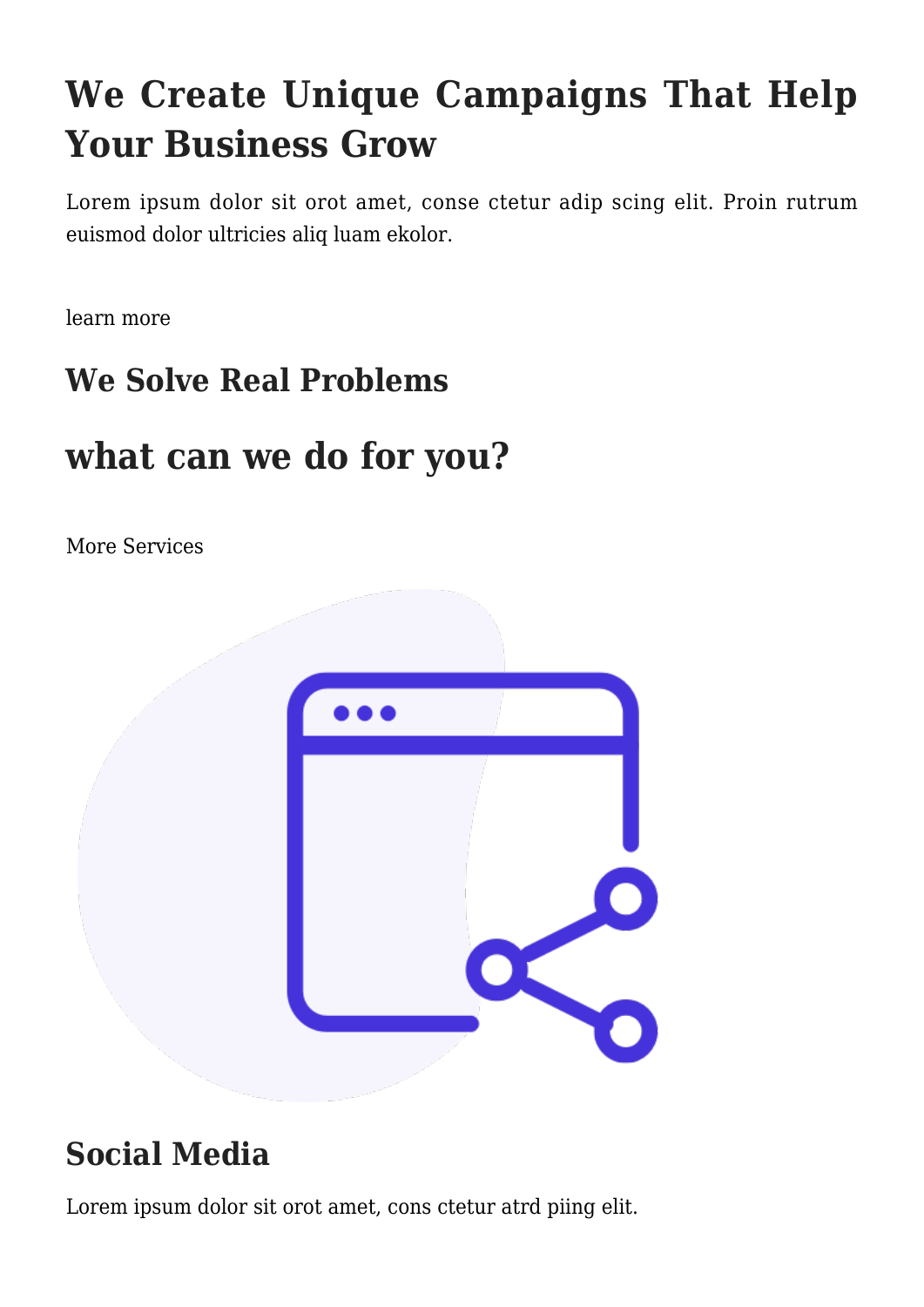# **We Create Unique Campaigns That Help Your Business Grow**

Lorem ipsum dolor sit orot amet, conse ctetur adip scing elit. Proin rutrum euismod dolor ultricies aliq luam ekolor.

[learn more](#page--1-0)

#### **We Solve Real Problems**

### **what can we do for you?**

[More Services](#page--1-0)



#### **Social Media**

Lorem ipsum dolor sit orot amet, cons ctetur atrd piing elit.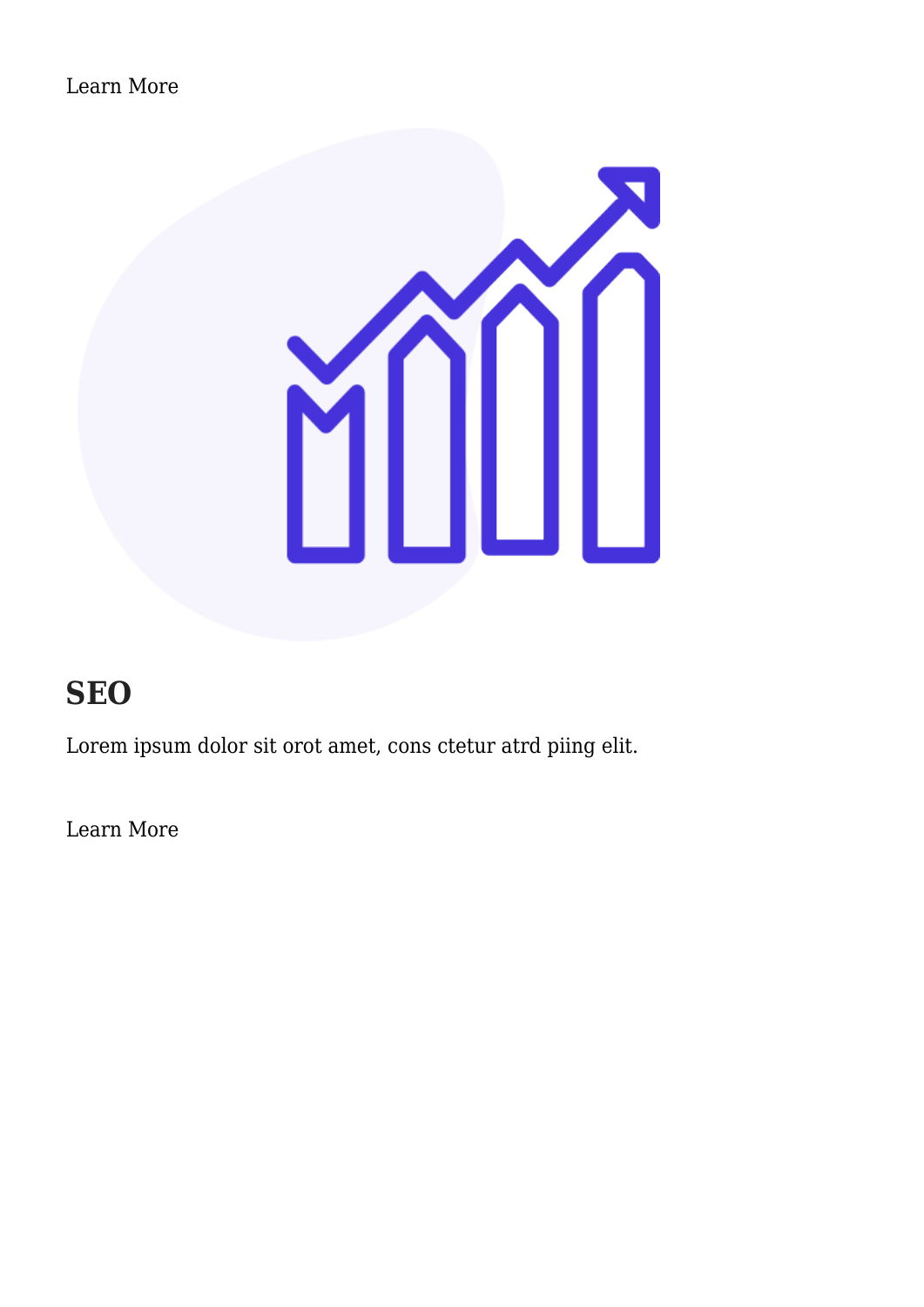

#### **SEO**

Lorem ipsum dolor sit orot amet, cons ctetur atrd piing elit.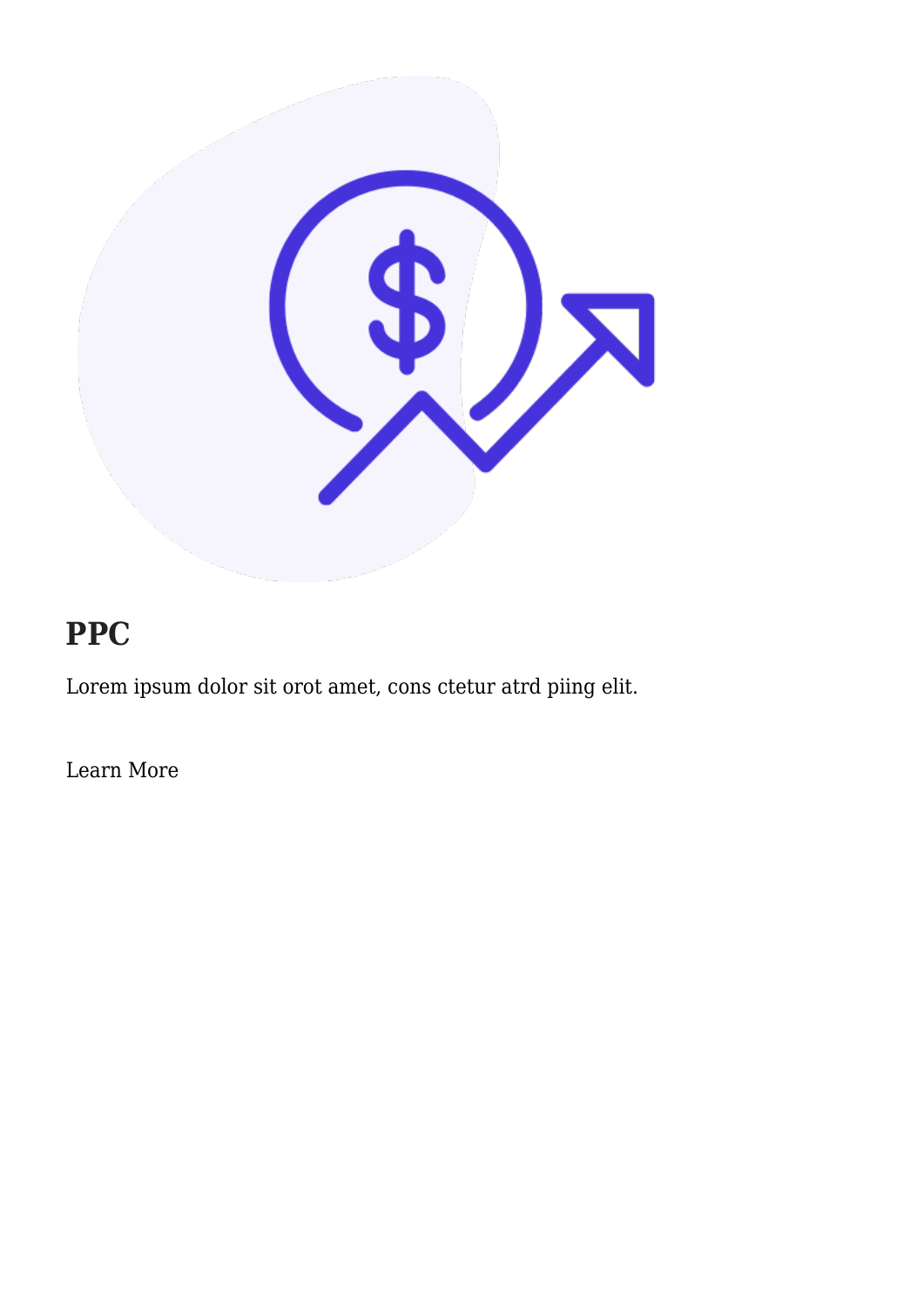

#### **PPC**

Lorem ipsum dolor sit orot amet, cons ctetur atrd piing elit.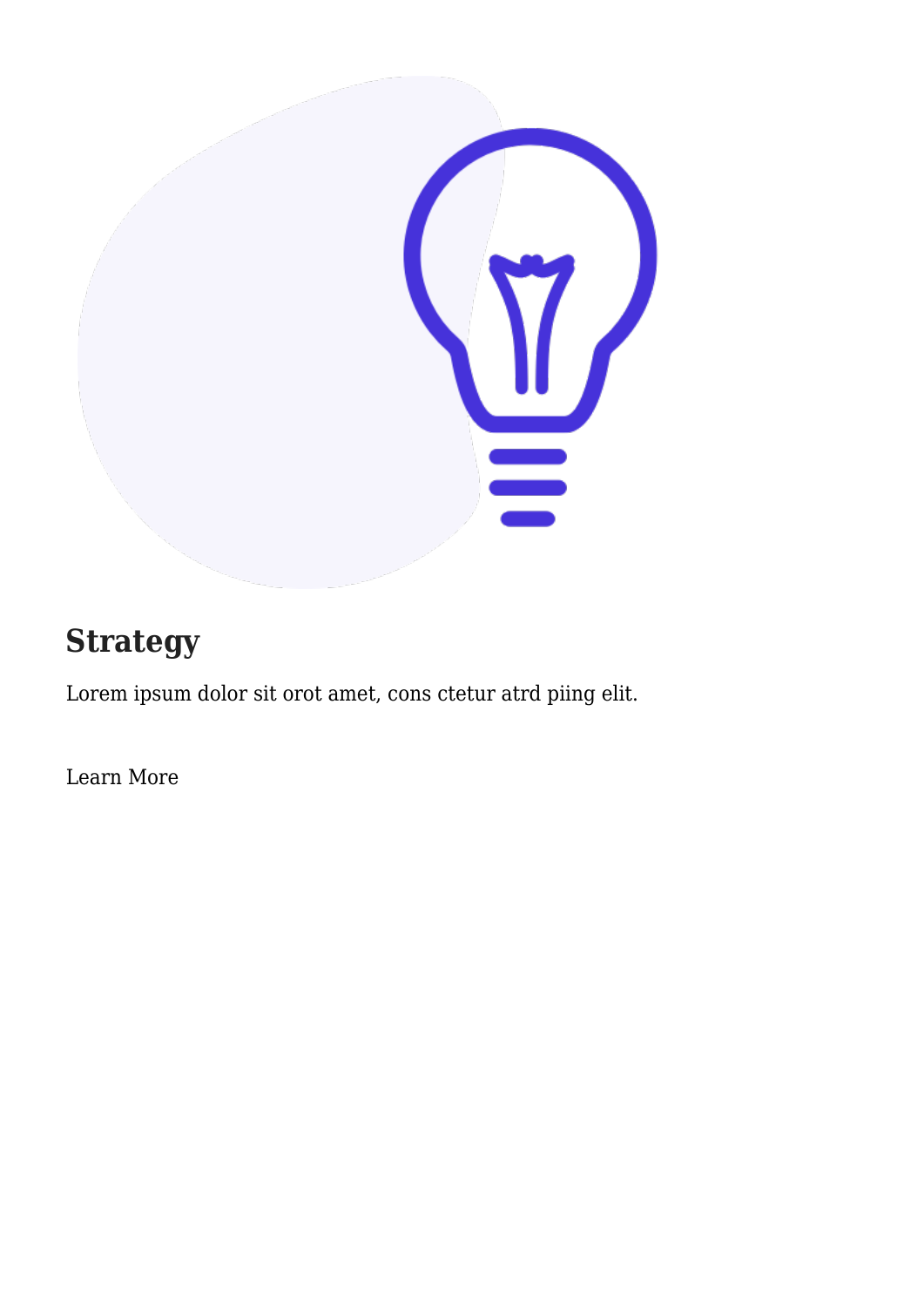

#### **Strategy**

Lorem ipsum dolor sit orot amet, cons ctetur atrd piing elit.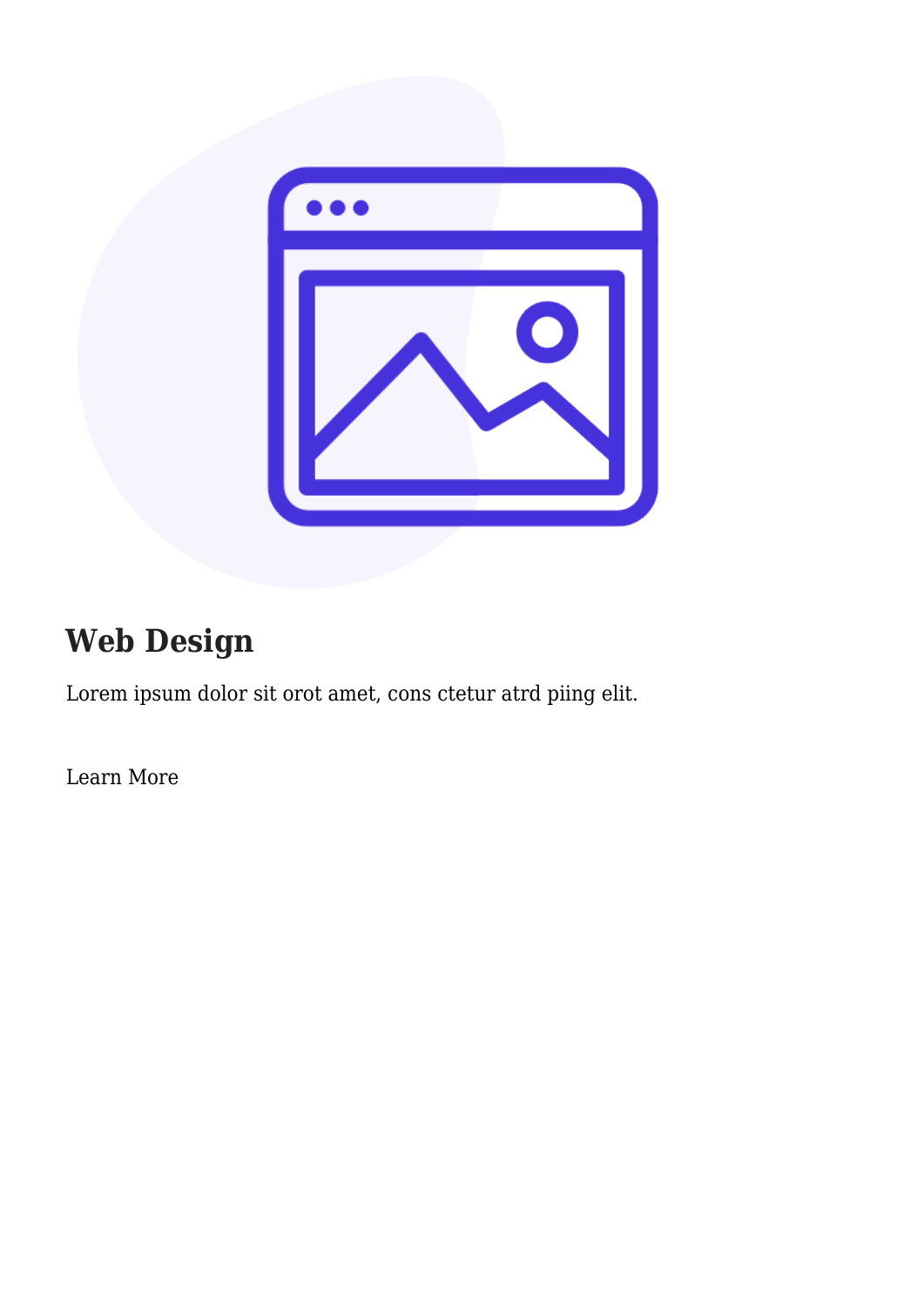

### **Web Design**

Lorem ipsum dolor sit orot amet, cons ctetur atrd piing elit.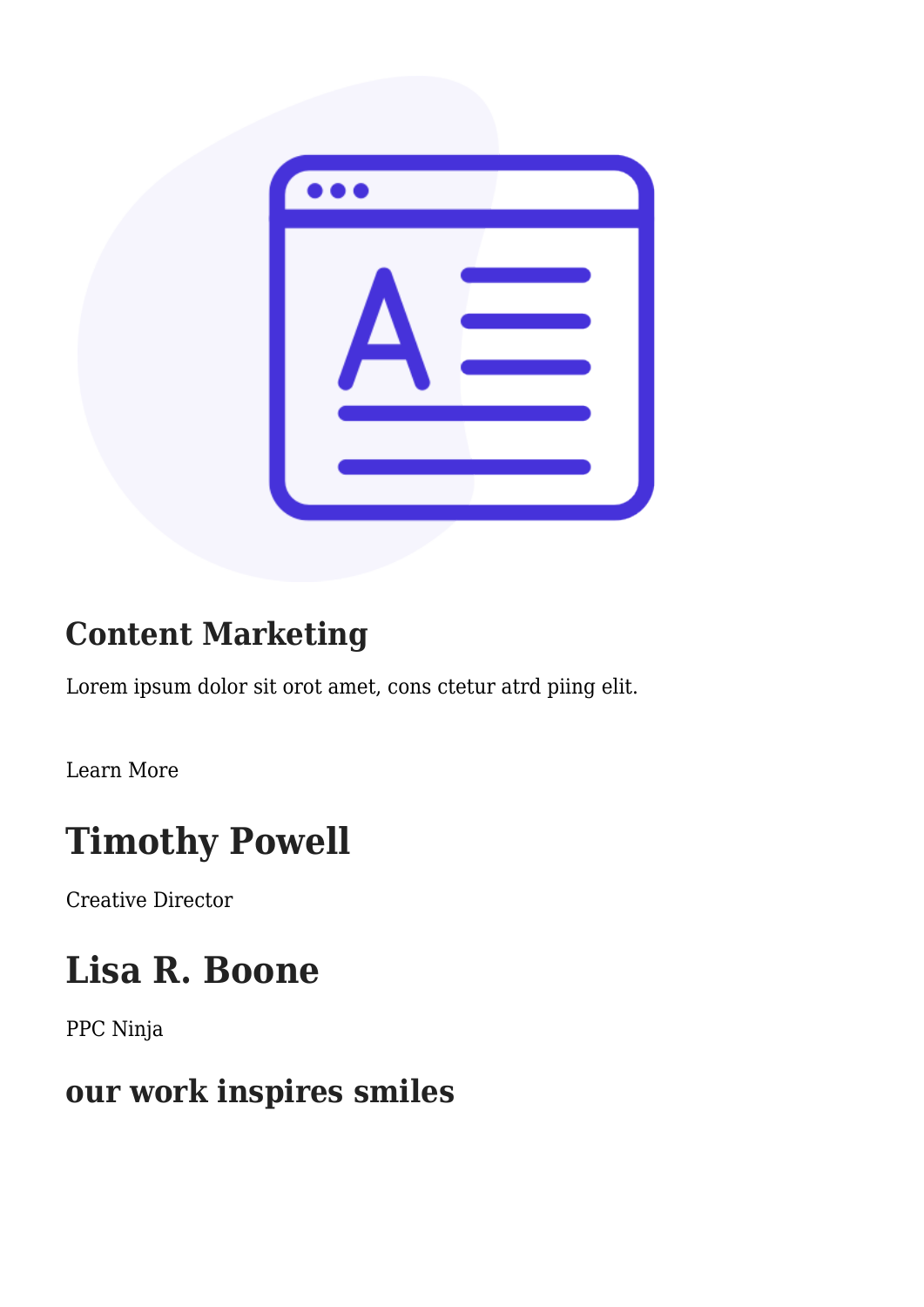

#### **Content Marketing**

Lorem ipsum dolor sit orot amet, cons ctetur atrd piing elit.

[Learn More](#page--1-0)

# **Timothy Powell**

Creative Director

# **Lisa R. Boone**

PPC Ninja

#### **our work inspires smiles**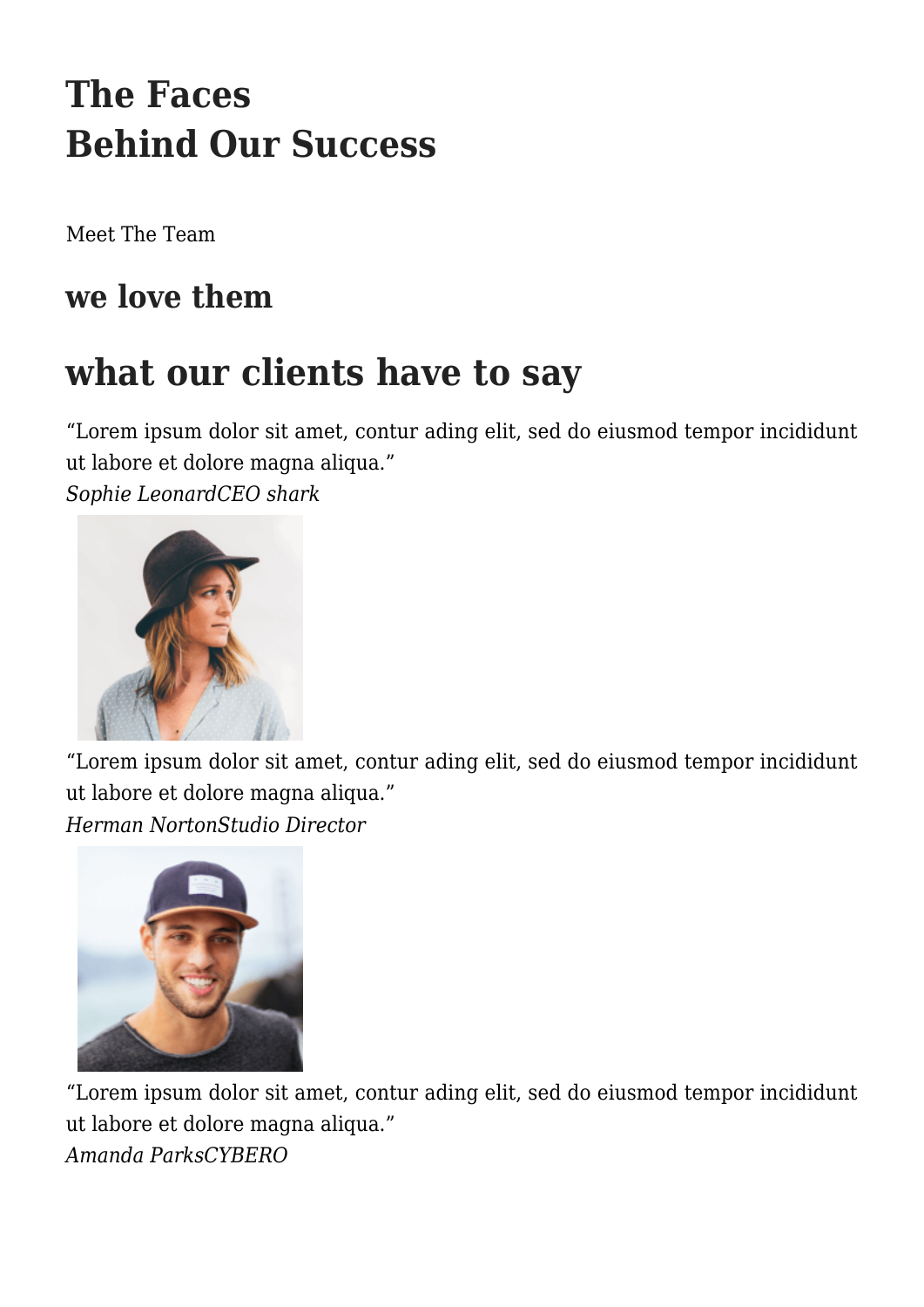# **The Faces Behind Our Success**

[Meet The Team](#page--1-0)

#### **we love them**

### **what our clients have to say**

"Lorem ipsum dolor sit amet, contur ading elit, sed do eiusmod tempor incididunt ut labore et dolore magna aliqua."

*Sophie LeonardCEO shark*



"Lorem ipsum dolor sit amet, contur ading elit, sed do eiusmod tempor incididunt ut labore et dolore magna aliqua." *Herman NortonStudio Director*



"Lorem ipsum dolor sit amet, contur ading elit, sed do eiusmod tempor incididunt ut labore et dolore magna aliqua." *Amanda ParksCYBERO*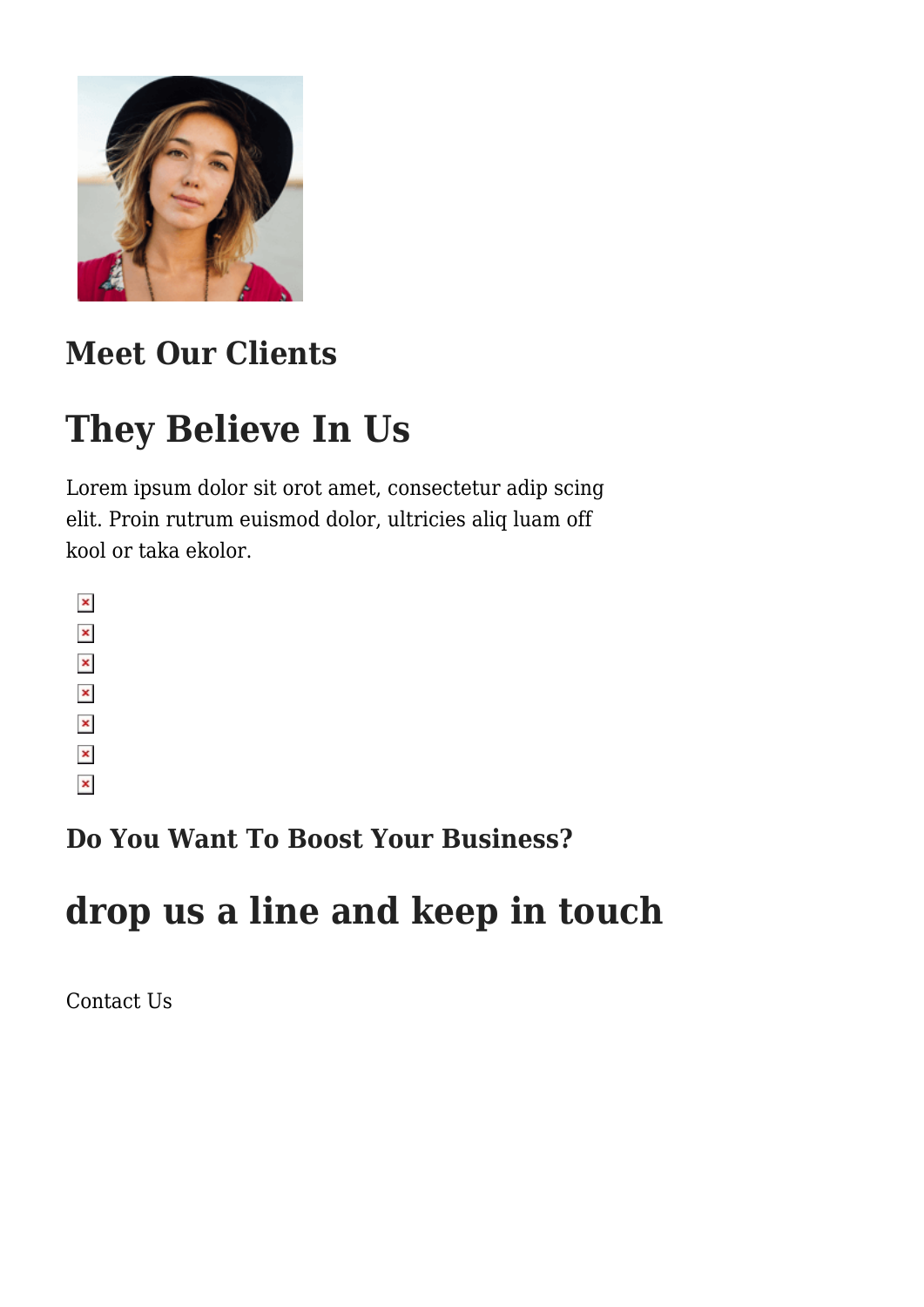

### **Meet Our Clients**

# **They Believe In Us**

Lorem ipsum dolor sit orot amet, consectetur adip scing elit. Proin rutrum euismod dolor, ultricies aliq luam off kool or taka ekolor.

 $\pmb{\times}$  $\pmb{\times}$  $\pmb{\times}$  $\pmb{\times}$  $\pmb{\times}$  $\pmb{\times}$  $\pmb{\times}$ 

**Do You Want To Boost Your Business?**

# **drop us a line and keep in touch**

[Contact Us](#page--1-0)